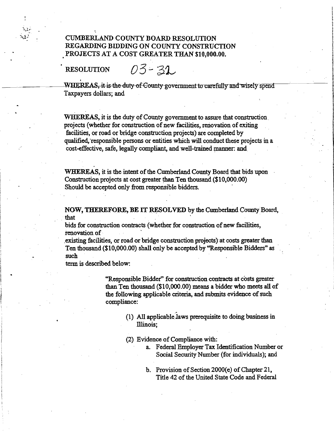CUMBERLAND COUNTY BOARD RESOLUTION REGARDING BIDDING ON COUNTY CONSTRUCTION PROJECTS AT A COST GREATER THAN \$10,000.00.

## RESOLUTION رين<br>.<br>مح

~.!;-.

 $03 - 31$ 

---~-S,it--is-the--duty-efemmty-governmentto carefully andwisely spend Taxpayers dollars; and

> WHEREAS, it is the duty of County government to assure that construction. projects (whether for construction of new facilities, renovation of exiting facilities, or road or bridge construction projects) are completed by qualified, "responsible persons or entities which will conduct these projects in a cost-effective, safe, legally compliant, and well-trained manner: and WHEREAS, it is the duty of County government to assure that construction<br>projects (whether for construction of new facilities, renovation of exiting<br>facilities, or road or bridge construction projects) are completed by<br>qua

WHEREAS, it is the intent of the Cumberland County Board that bids upon Construction projects at cost greater than Ten thousand (\$10,000.00) Should be accepted only from responsible bidders.

bids for construction contracts (whether for construction of new facilities, renovation of .

.existing facilities, or road or bridge construction projects) at costs greater than Ten thousand (\$10,000.00) shall only be accepted by "Responsible Bidders" as such

termis described below:

"Responsible Bidder" for construction contracts at costs greaterthan Ten thousand (\$10,000.00) means a bidder who meets all of the following applicable criteria, and submits evidence of such compliance:

> (1) All applicable laws prerequisite to doing business in Illinois;

(2) Evidence of Compliance with:

- a. Federal Employer Tax Identification Number or Social Security Number (for individuals); and
- b. Provision of Section 2000(e) of Chapter 21, Title 42 of the United State Code and Federal